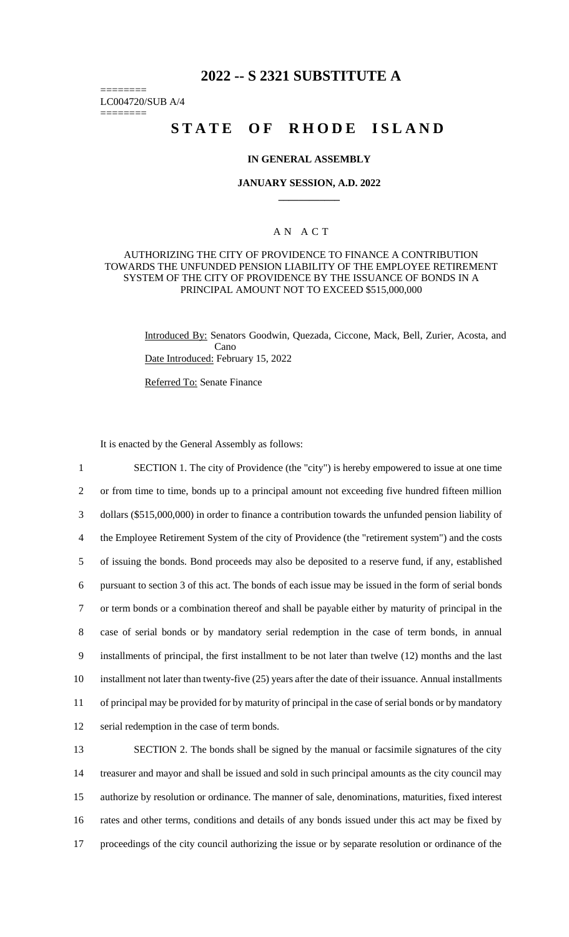# **2022 -- S 2321 SUBSTITUTE A**

======== LC004720/SUB A/4

========

# **STATE OF RHODE ISLAND**

#### **IN GENERAL ASSEMBLY**

#### **JANUARY SESSION, A.D. 2022 \_\_\_\_\_\_\_\_\_\_\_\_**

# A N A C T

#### AUTHORIZING THE CITY OF PROVIDENCE TO FINANCE A CONTRIBUTION TOWARDS THE UNFUNDED PENSION LIABILITY OF THE EMPLOYEE RETIREMENT SYSTEM OF THE CITY OF PROVIDENCE BY THE ISSUANCE OF BONDS IN A PRINCIPAL AMOUNT NOT TO EXCEED \$515,000,000

Introduced By: Senators Goodwin, Quezada, Ciccone, Mack, Bell, Zurier, Acosta, and Cano Date Introduced: February 15, 2022

Referred To: Senate Finance

It is enacted by the General Assembly as follows:

 SECTION 1. The city of Providence (the "city") is hereby empowered to issue at one time or from time to time, bonds up to a principal amount not exceeding five hundred fifteen million dollars (\$515,000,000) in order to finance a contribution towards the unfunded pension liability of the Employee Retirement System of the city of Providence (the "retirement system") and the costs of issuing the bonds. Bond proceeds may also be deposited to a reserve fund, if any, established pursuant to section 3 of this act. The bonds of each issue may be issued in the form of serial bonds or term bonds or a combination thereof and shall be payable either by maturity of principal in the case of serial bonds or by mandatory serial redemption in the case of term bonds, in annual installments of principal, the first installment to be not later than twelve (12) months and the last installment not later than twenty-five (25) years after the date of their issuance. Annual installments of principal may be provided for by maturity of principal in the case of serial bonds or by mandatory serial redemption in the case of term bonds.

 SECTION 2. The bonds shall be signed by the manual or facsimile signatures of the city treasurer and mayor and shall be issued and sold in such principal amounts as the city council may authorize by resolution or ordinance. The manner of sale, denominations, maturities, fixed interest rates and other terms, conditions and details of any bonds issued under this act may be fixed by proceedings of the city council authorizing the issue or by separate resolution or ordinance of the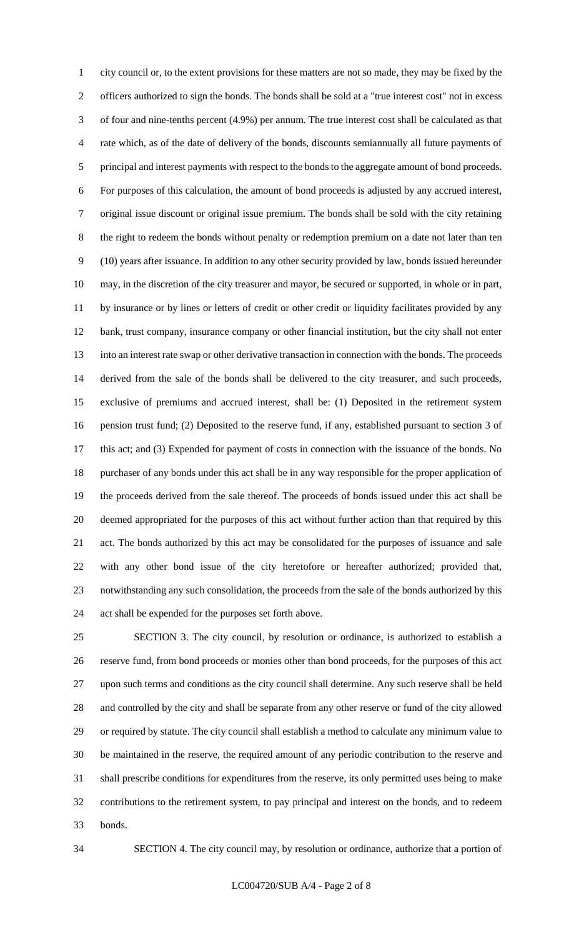city council or, to the extent provisions for these matters are not so made, they may be fixed by the officers authorized to sign the bonds. The bonds shall be sold at a "true interest cost" not in excess of four and nine-tenths percent (4.9%) per annum. The true interest cost shall be calculated as that rate which, as of the date of delivery of the bonds, discounts semiannually all future payments of principal and interest payments with respect to the bonds to the aggregate amount of bond proceeds. For purposes of this calculation, the amount of bond proceeds is adjusted by any accrued interest, original issue discount or original issue premium. The bonds shall be sold with the city retaining the right to redeem the bonds without penalty or redemption premium on a date not later than ten (10) years after issuance. In addition to any other security provided by law, bonds issued hereunder may, in the discretion of the city treasurer and mayor, be secured or supported, in whole or in part, by insurance or by lines or letters of credit or other credit or liquidity facilitates provided by any bank, trust company, insurance company or other financial institution, but the city shall not enter into an interest rate swap or other derivative transaction in connection with the bonds. The proceeds derived from the sale of the bonds shall be delivered to the city treasurer, and such proceeds, exclusive of premiums and accrued interest, shall be: (1) Deposited in the retirement system pension trust fund; (2) Deposited to the reserve fund, if any, established pursuant to section 3 of this act; and (3) Expended for payment of costs in connection with the issuance of the bonds. No purchaser of any bonds under this act shall be in any way responsible for the proper application of the proceeds derived from the sale thereof. The proceeds of bonds issued under this act shall be deemed appropriated for the purposes of this act without further action than that required by this act. The bonds authorized by this act may be consolidated for the purposes of issuance and sale with any other bond issue of the city heretofore or hereafter authorized; provided that, notwithstanding any such consolidation, the proceeds from the sale of the bonds authorized by this act shall be expended for the purposes set forth above.

 SECTION 3. The city council, by resolution or ordinance, is authorized to establish a reserve fund, from bond proceeds or monies other than bond proceeds, for the purposes of this act upon such terms and conditions as the city council shall determine. Any such reserve shall be held and controlled by the city and shall be separate from any other reserve or fund of the city allowed or required by statute. The city council shall establish a method to calculate any minimum value to be maintained in the reserve, the required amount of any periodic contribution to the reserve and shall prescribe conditions for expenditures from the reserve, its only permitted uses being to make contributions to the retirement system, to pay principal and interest on the bonds, and to redeem bonds.

SECTION 4. The city council may, by resolution or ordinance, authorize that a portion of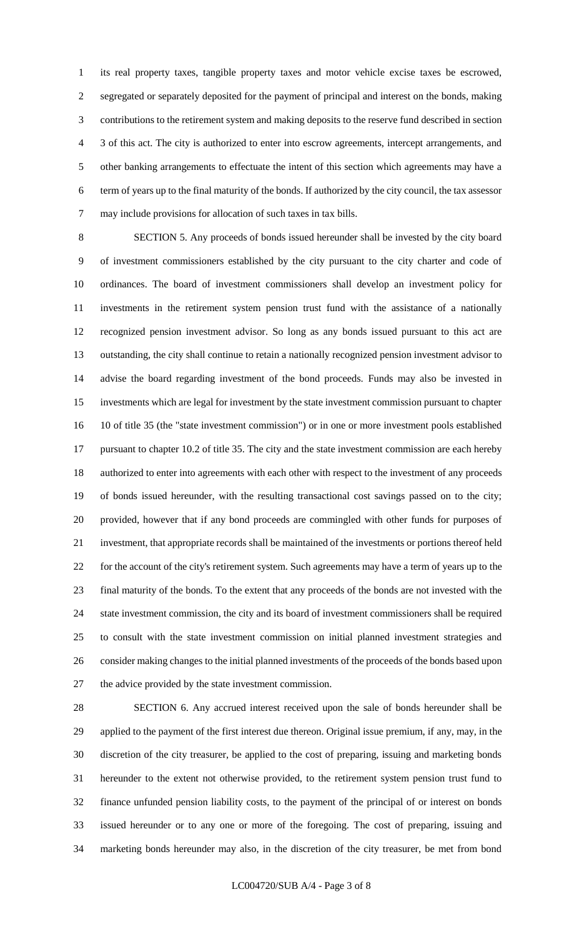its real property taxes, tangible property taxes and motor vehicle excise taxes be escrowed, segregated or separately deposited for the payment of principal and interest on the bonds, making contributions to the retirement system and making deposits to the reserve fund described in section 3 of this act. The city is authorized to enter into escrow agreements, intercept arrangements, and other banking arrangements to effectuate the intent of this section which agreements may have a term of years up to the final maturity of the bonds. If authorized by the city council, the tax assessor may include provisions for allocation of such taxes in tax bills.

 SECTION 5. Any proceeds of bonds issued hereunder shall be invested by the city board of investment commissioners established by the city pursuant to the city charter and code of ordinances. The board of investment commissioners shall develop an investment policy for investments in the retirement system pension trust fund with the assistance of a nationally recognized pension investment advisor. So long as any bonds issued pursuant to this act are outstanding, the city shall continue to retain a nationally recognized pension investment advisor to advise the board regarding investment of the bond proceeds. Funds may also be invested in investments which are legal for investment by the state investment commission pursuant to chapter 10 of title 35 (the "state investment commission") or in one or more investment pools established pursuant to chapter 10.2 of title 35. The city and the state investment commission are each hereby authorized to enter into agreements with each other with respect to the investment of any proceeds of bonds issued hereunder, with the resulting transactional cost savings passed on to the city; provided, however that if any bond proceeds are commingled with other funds for purposes of investment, that appropriate records shall be maintained of the investments or portions thereof held for the account of the city's retirement system. Such agreements may have a term of years up to the final maturity of the bonds. To the extent that any proceeds of the bonds are not invested with the state investment commission, the city and its board of investment commissioners shall be required to consult with the state investment commission on initial planned investment strategies and consider making changes to the initial planned investments of the proceeds of the bonds based upon the advice provided by the state investment commission.

 SECTION 6. Any accrued interest received upon the sale of bonds hereunder shall be applied to the payment of the first interest due thereon. Original issue premium, if any, may, in the discretion of the city treasurer, be applied to the cost of preparing, issuing and marketing bonds hereunder to the extent not otherwise provided, to the retirement system pension trust fund to finance unfunded pension liability costs, to the payment of the principal of or interest on bonds issued hereunder or to any one or more of the foregoing. The cost of preparing, issuing and marketing bonds hereunder may also, in the discretion of the city treasurer, be met from bond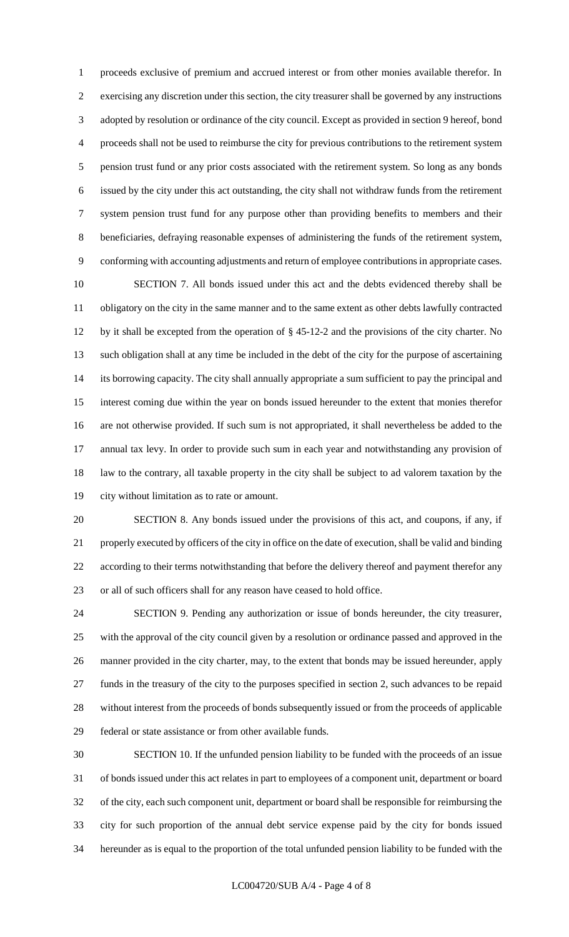proceeds exclusive of premium and accrued interest or from other monies available therefor. In exercising any discretion under this section, the city treasurer shall be governed by any instructions adopted by resolution or ordinance of the city council. Except as provided in section 9 hereof, bond proceeds shall not be used to reimburse the city for previous contributions to the retirement system pension trust fund or any prior costs associated with the retirement system. So long as any bonds issued by the city under this act outstanding, the city shall not withdraw funds from the retirement system pension trust fund for any purpose other than providing benefits to members and their beneficiaries, defraying reasonable expenses of administering the funds of the retirement system, conforming with accounting adjustments and return of employee contributions in appropriate cases.

 SECTION 7. All bonds issued under this act and the debts evidenced thereby shall be obligatory on the city in the same manner and to the same extent as other debts lawfully contracted by it shall be excepted from the operation of § 45-12-2 and the provisions of the city charter. No such obligation shall at any time be included in the debt of the city for the purpose of ascertaining its borrowing capacity. The city shall annually appropriate a sum sufficient to pay the principal and interest coming due within the year on bonds issued hereunder to the extent that monies therefor are not otherwise provided. If such sum is not appropriated, it shall nevertheless be added to the annual tax levy. In order to provide such sum in each year and notwithstanding any provision of law to the contrary, all taxable property in the city shall be subject to ad valorem taxation by the city without limitation as to rate or amount.

 SECTION 8. Any bonds issued under the provisions of this act, and coupons, if any, if properly executed by officers of the city in office on the date of execution, shall be valid and binding according to their terms notwithstanding that before the delivery thereof and payment therefor any or all of such officers shall for any reason have ceased to hold office.

 SECTION 9. Pending any authorization or issue of bonds hereunder, the city treasurer, with the approval of the city council given by a resolution or ordinance passed and approved in the manner provided in the city charter, may, to the extent that bonds may be issued hereunder, apply funds in the treasury of the city to the purposes specified in section 2, such advances to be repaid without interest from the proceeds of bonds subsequently issued or from the proceeds of applicable federal or state assistance or from other available funds.

 SECTION 10. If the unfunded pension liability to be funded with the proceeds of an issue of bonds issued under this act relates in part to employees of a component unit, department or board of the city, each such component unit, department or board shall be responsible for reimbursing the city for such proportion of the annual debt service expense paid by the city for bonds issued hereunder as is equal to the proportion of the total unfunded pension liability to be funded with the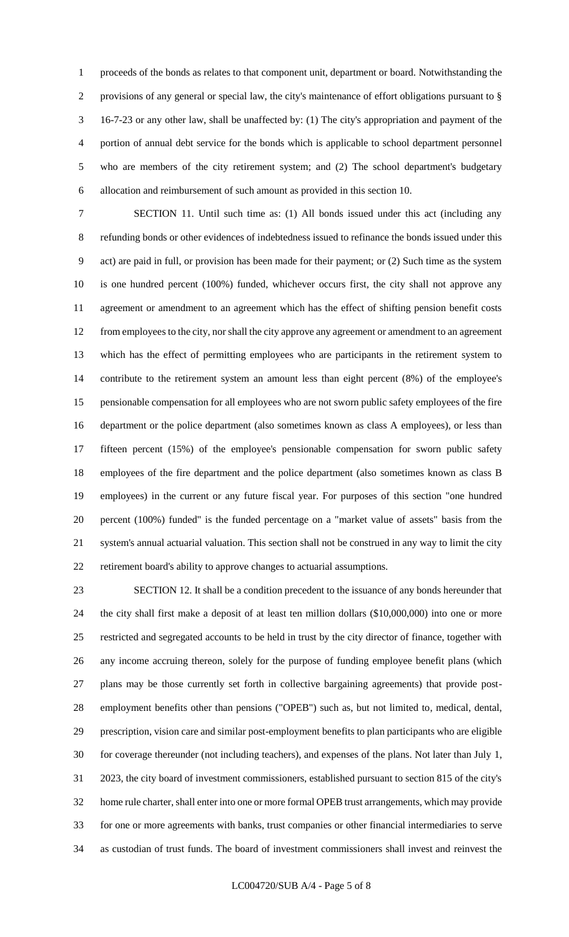proceeds of the bonds as relates to that component unit, department or board. Notwithstanding the provisions of any general or special law, the city's maintenance of effort obligations pursuant to § 16-7-23 or any other law, shall be unaffected by: (1) The city's appropriation and payment of the portion of annual debt service for the bonds which is applicable to school department personnel who are members of the city retirement system; and (2) The school department's budgetary allocation and reimbursement of such amount as provided in this section 10.

 SECTION 11. Until such time as: (1) All bonds issued under this act (including any refunding bonds or other evidences of indebtedness issued to refinance the bonds issued under this act) are paid in full, or provision has been made for their payment; or (2) Such time as the system is one hundred percent (100%) funded, whichever occurs first, the city shall not approve any agreement or amendment to an agreement which has the effect of shifting pension benefit costs from employees to the city, nor shall the city approve any agreement or amendment to an agreement which has the effect of permitting employees who are participants in the retirement system to contribute to the retirement system an amount less than eight percent (8%) of the employee's pensionable compensation for all employees who are not sworn public safety employees of the fire department or the police department (also sometimes known as class A employees), or less than fifteen percent (15%) of the employee's pensionable compensation for sworn public safety employees of the fire department and the police department (also sometimes known as class B employees) in the current or any future fiscal year. For purposes of this section "one hundred percent (100%) funded" is the funded percentage on a "market value of assets" basis from the system's annual actuarial valuation. This section shall not be construed in any way to limit the city retirement board's ability to approve changes to actuarial assumptions.

 SECTION 12. It shall be a condition precedent to the issuance of any bonds hereunder that the city shall first make a deposit of at least ten million dollars (\$10,000,000) into one or more restricted and segregated accounts to be held in trust by the city director of finance, together with any income accruing thereon, solely for the purpose of funding employee benefit plans (which plans may be those currently set forth in collective bargaining agreements) that provide post- employment benefits other than pensions ("OPEB") such as, but not limited to, medical, dental, prescription, vision care and similar post-employment benefits to plan participants who are eligible for coverage thereunder (not including teachers), and expenses of the plans. Not later than July 1, 2023, the city board of investment commissioners, established pursuant to section 815 of the city's home rule charter, shall enter into one or more formal OPEB trust arrangements, which may provide for one or more agreements with banks, trust companies or other financial intermediaries to serve as custodian of trust funds. The board of investment commissioners shall invest and reinvest the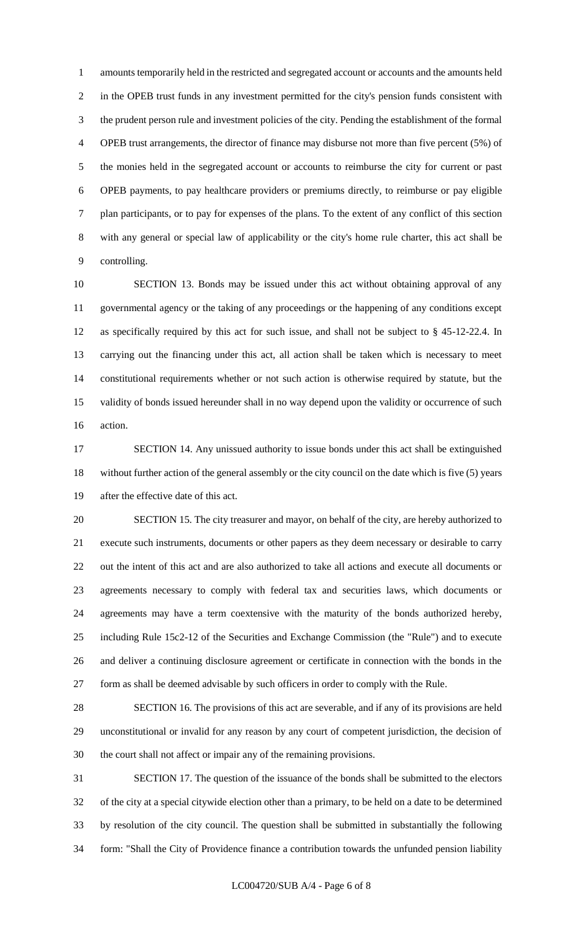amounts temporarily held in the restricted and segregated account or accounts and the amounts held in the OPEB trust funds in any investment permitted for the city's pension funds consistent with the prudent person rule and investment policies of the city. Pending the establishment of the formal OPEB trust arrangements, the director of finance may disburse not more than five percent (5%) of the monies held in the segregated account or accounts to reimburse the city for current or past OPEB payments, to pay healthcare providers or premiums directly, to reimburse or pay eligible plan participants, or to pay for expenses of the plans. To the extent of any conflict of this section with any general or special law of applicability or the city's home rule charter, this act shall be controlling.

 SECTION 13. Bonds may be issued under this act without obtaining approval of any governmental agency or the taking of any proceedings or the happening of any conditions except as specifically required by this act for such issue, and shall not be subject to § 45-12-22.4. In carrying out the financing under this act, all action shall be taken which is necessary to meet constitutional requirements whether or not such action is otherwise required by statute, but the validity of bonds issued hereunder shall in no way depend upon the validity or occurrence of such action.

 SECTION 14. Any unissued authority to issue bonds under this act shall be extinguished without further action of the general assembly or the city council on the date which is five (5) years after the effective date of this act.

 SECTION 15. The city treasurer and mayor, on behalf of the city, are hereby authorized to execute such instruments, documents or other papers as they deem necessary or desirable to carry out the intent of this act and are also authorized to take all actions and execute all documents or agreements necessary to comply with federal tax and securities laws, which documents or agreements may have a term coextensive with the maturity of the bonds authorized hereby, including Rule 15c2-12 of the Securities and Exchange Commission (the "Rule") and to execute and deliver a continuing disclosure agreement or certificate in connection with the bonds in the form as shall be deemed advisable by such officers in order to comply with the Rule.

 SECTION 16. The provisions of this act are severable, and if any of its provisions are held unconstitutional or invalid for any reason by any court of competent jurisdiction, the decision of the court shall not affect or impair any of the remaining provisions.

 SECTION 17. The question of the issuance of the bonds shall be submitted to the electors of the city at a special citywide election other than a primary, to be held on a date to be determined by resolution of the city council. The question shall be submitted in substantially the following form: "Shall the City of Providence finance a contribution towards the unfunded pension liability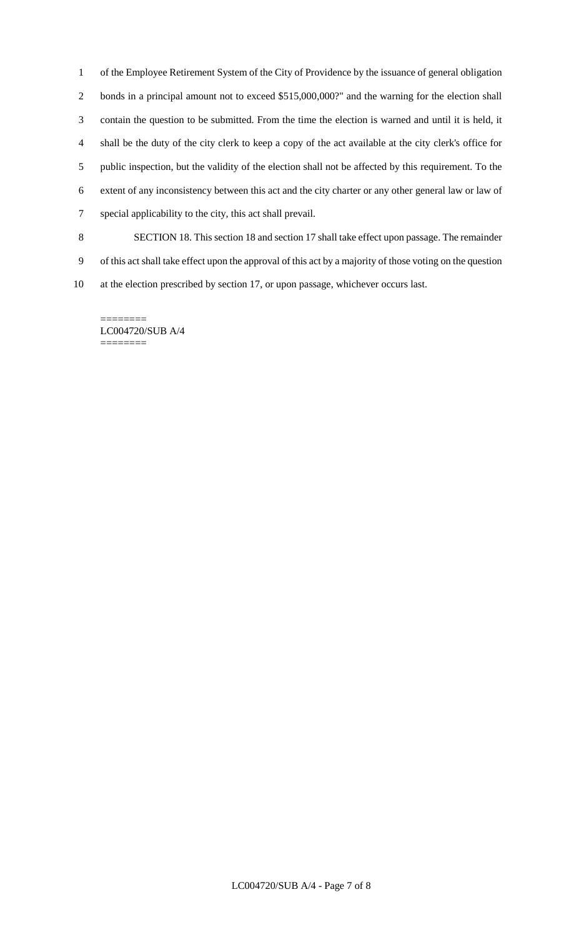of the Employee Retirement System of the City of Providence by the issuance of general obligation bonds in a principal amount not to exceed \$515,000,000?" and the warning for the election shall contain the question to be submitted. From the time the election is warned and until it is held, it shall be the duty of the city clerk to keep a copy of the act available at the city clerk's office for public inspection, but the validity of the election shall not be affected by this requirement. To the extent of any inconsistency between this act and the city charter or any other general law or law of special applicability to the city, this act shall prevail.

 SECTION 18. This section 18 and section 17 shall take effect upon passage. The remainder of this act shall take effect upon the approval of this act by a majority of those voting on the question at the election prescribed by section 17, or upon passage, whichever occurs last.

======== LC004720/SUB A/4 ========